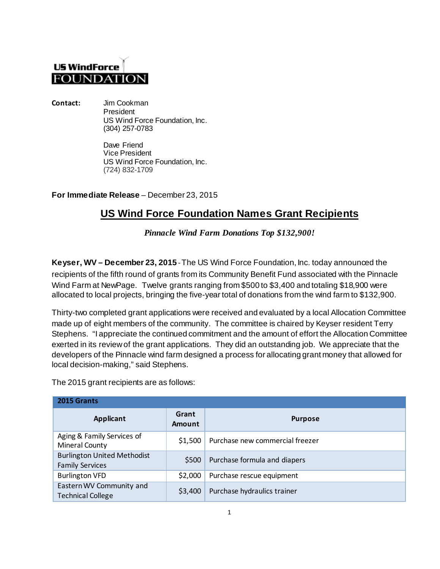## **US WindForce FOUNDATION**

**Contact:** Jim Cookman President US Wind Force Foundation, Inc. (304) 257-0783

> Dave Friend Vice President US Wind Force Foundation, Inc. (724) 832-1709

**For Immediate Release** – December 23, 2015

## **US Wind Force Foundation Names Grant Recipients**

*Pinnacle Wind Farm Donations Top \$132,900!*

**Keyser, WV – December 23, 2015** -The US Wind Force Foundation, Inc. today announced the recipients of the fifth round of grants from its Community Benefit Fund associated with the Pinnacle Wind Farm at NewPage. Twelve grants ranging from \$500 to \$3,400 and totaling \$18,900 were allocated to local projects, bringing the five-year total of donations from the wind farm to \$132,900.

Thirty-two completed grant applications were received and evaluated by a local Allocation Committee made up of eight members of the community. The committee is chaired by Keyser resident Terry Stephens. "I appreciate the continued commitment and the amount of effort the Allocation Committee exerted in its review of the grant applications. They did an outstanding job. We appreciate that the developers of the Pinnacle wind farm designed a process for allocating grant money that allowed for local decision-making," said Stephens.

The 2015 grant recipients are as follows:

| 2015 Grants                                                  |                 |                                 |  |
|--------------------------------------------------------------|-----------------|---------------------------------|--|
| Applicant                                                    | Grant<br>Amount | <b>Purpose</b>                  |  |
| Aging & Family Services of<br>Mineral County                 | \$1,500         | Purchase new commercial freezer |  |
| <b>Burlington United Methodist</b><br><b>Family Services</b> | \$500           | Purchase formula and diapers    |  |
| <b>Burlington VFD</b>                                        | \$2,000         | Purchase rescue equipment       |  |
| Eastern WV Community and<br><b>Technical College</b>         | \$3,400         | Purchase hydraulics trainer     |  |